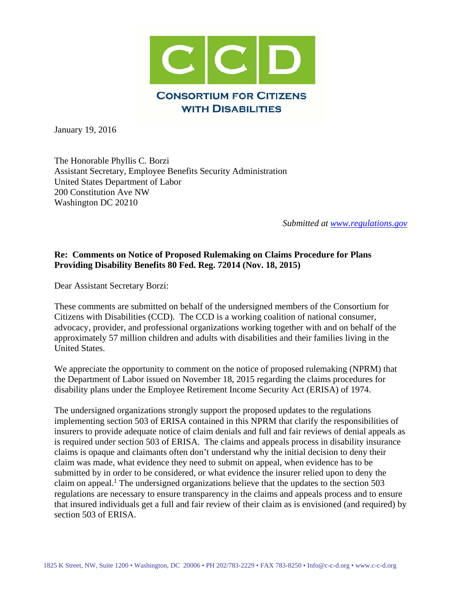

January 19, 2016

The Honorable Phyllis C. Borzi Assistant Secretary, Employee Benefits Security Administration United States Department of Labor 200 Constitution Ave NW Washington DC 20210

*Submitted at [www.regulations.gov](http://www.regulations.gov/)*

## **Re: Comments on Notice of Proposed Rulemaking on Claims Procedure for Plans Providing Disability Benefits 80 Fed. Reg. 72014 (Nov. 18, 2015)**

Dear Assistant Secretary Borzi:

These comments are submitted on behalf of the undersigned members of the Consortium for Citizens with Disabilities (CCD). The CCD is a working coalition of national consumer, advocacy, provider, and professional organizations working together with and on behalf of the approximately 57 million children and adults with disabilities and their families living in the United States.

We appreciate the opportunity to comment on the notice of proposed rulemaking (NPRM) that the Department of Labor issued on November 18, 2015 regarding the claims procedures for disability plans under the Employee Retirement Income Security Act (ERISA) of 1974.

The undersigned organizations strongly support the proposed updates to the regulations implementing section 503 of ERISA contained in this NPRM that clarify the responsibilities of insurers to provide adequate notice of claim denials and full and fair reviews of denial appeals as is required under section 503 of ERISA. The claims and appeals process in disability insurance claims is opaque and claimants often don't understand why the initial decision to deny their claim was made, what evidence they need to submit on appeal, when evidence has to be submitted by in order to be considered, or what evidence the insurer relied upon to deny the claim on appeal. <sup>1</sup> The undersigned organizations believe that the updates to the section 503 regulations are necessary to ensure transparency in the claims and appeals process and to ensure that insured individuals get a full and fair review of their claim as is envisioned (and required) by section 503 of ERISA.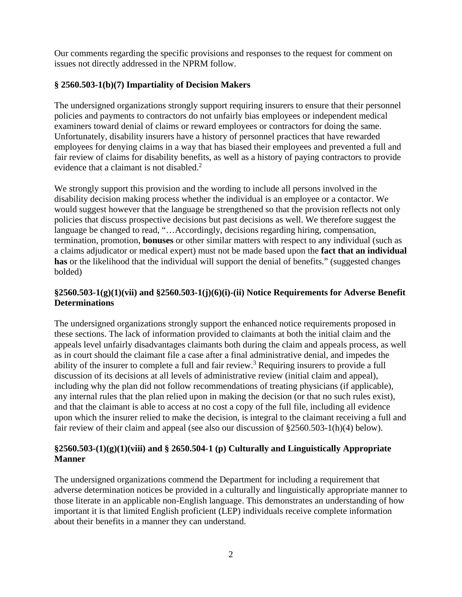Our comments regarding the specific provisions and responses to the request for comment on issues not directly addressed in the NPRM follow.

# **§ 2560.503-1(b)(7) Impartiality of Decision Makers**

The undersigned organizations strongly support requiring insurers to ensure that their personnel policies and payments to contractors do not unfairly bias employees or independent medical examiners toward denial of claims or reward employees or contractors for doing the same. Unfortunately, disability insurers have a history of personnel practices that have rewarded employees for denying claims in a way that has biased their employees and prevented a full and fair review of claims for disability benefits, as well as a history of paying contractors to provide evidence that a claimant is not disabled.<sup>2</sup>

We strongly support this provision and the wording to include all persons involved in the disability decision making process whether the individual is an employee or a contactor. We would suggest however that the language be strengthened so that the provision reflects not only policies that discuss prospective decisions but past decisions as well. We therefore suggest the language be changed to read, "…Accordingly, decisions regarding hiring, compensation, termination, promotion, **bonuses** or other similar matters with respect to any individual (such as a claims adjudicator or medical expert) must not be made based upon the **fact that an individual has** or the likelihood that the individual will support the denial of benefits." (suggested changes bolded)

# **§2560.503-1(g)(1)(vii) and §2560.503-1(j)(6)(i)-(ii) Notice Requirements for Adverse Benefit Determinations**

The undersigned organizations strongly support the enhanced notice requirements proposed in these sections. The lack of information provided to claimants at both the initial claim and the appeals level unfairly disadvantages claimants both during the claim and appeals process, as well as in court should the claimant file a case after a final administrative denial, and impedes the ability of the insurer to complete a full and fair review.<sup>3</sup> Requiring insurers to provide a full discussion of its decisions at all levels of administrative review (initial claim and appeal), including why the plan did not follow recommendations of treating physicians (if applicable), any internal rules that the plan relied upon in making the decision (or that no such rules exist), and that the claimant is able to access at no cost a copy of the full file, including all evidence upon which the insurer relied to make the decision, is integral to the claimant receiving a full and fair review of their claim and appeal (see also our discussion of §2560.503-1(h)(4) below).

## **§2560.503-(1)(g)(1)(viii) and § 2650.504-1 (p) Culturally and Linguistically Appropriate Manner**

The undersigned organizations commend the Department for including a requirement that adverse determination notices be provided in a culturally and linguistically appropriate manner to those literate in an applicable non-English language. This demonstrates an understanding of how important it is that limited English proficient (LEP) individuals receive complete information about their benefits in a manner they can understand.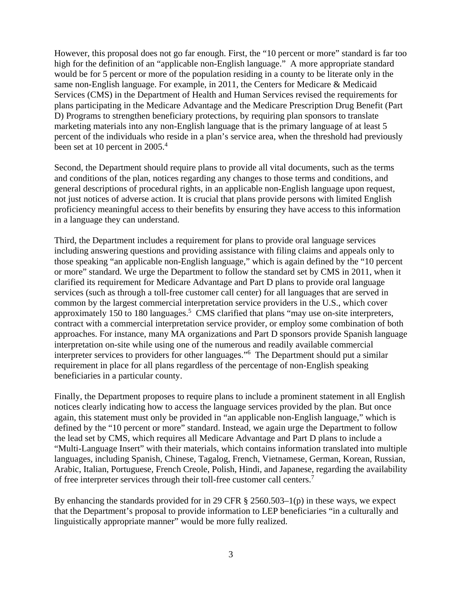However, this proposal does not go far enough. First, the "10 percent or more" standard is far too high for the definition of an "applicable non-English language." A more appropriate standard would be for 5 percent or more of the population residing in a county to be literate only in the same non-English language. For example, in 2011, the Centers for Medicare & Medicaid Services (CMS) in the Department of Health and Human Services revised the requirements for plans participating in the Medicare Advantage and the Medicare Prescription Drug Benefit (Part D) Programs to strengthen beneficiary protections, by requiring plan sponsors to translate marketing materials into any non-English language that is the primary language of at least 5 percent of the individuals who reside in a plan's service area, when the threshold had previously been set at 10 percent in 2005.<sup>4</sup>

Second, the Department should require plans to provide all vital documents, such as the terms and conditions of the plan, notices regarding any changes to those terms and conditions, and general descriptions of procedural rights, in an applicable non-English language upon request, not just notices of adverse action. It is crucial that plans provide persons with limited English proficiency meaningful access to their benefits by ensuring they have access to this information in a language they can understand.

Third, the Department includes a requirement for plans to provide oral language services including answering questions and providing assistance with filing claims and appeals only to those speaking "an applicable non-English language," which is again defined by the "10 percent or more" standard. We urge the Department to follow the standard set by CMS in 2011, when it clarified its requirement for Medicare Advantage and Part D plans to provide oral language services (such as through a toll-free customer call center) for all languages that are served in common by the largest commercial interpretation service providers in the U.S., which cover approximately 150 to 180 languages.<sup>5</sup> CMS clarified that plans "may use on-site interpreters, contract with a commercial interpretation service provider, or employ some combination of both approaches. For instance, many MA organizations and Part D sponsors provide Spanish language interpretation on-site while using one of the numerous and readily available commercial interpreter services to providers for other languages."6 The Department should put a similar requirement in place for all plans regardless of the percentage of non-English speaking beneficiaries in a particular county.

Finally, the Department proposes to require plans to include a prominent statement in all English notices clearly indicating how to access the language services provided by the plan. But once again, this statement must only be provided in "an applicable non-English language," which is defined by the "10 percent or more" standard. Instead, we again urge the Department to follow the lead set by CMS, which requires all Medicare Advantage and Part D plans to include a "Multi-Language Insert" with their materials, which contains information translated into multiple languages, including Spanish, Chinese, Tagalog, French, Vietnamese, German, Korean, Russian, Arabic, Italian, Portuguese, French Creole, Polish, Hindi, and Japanese, regarding the availability of free interpreter services through their toll-free customer call centers.<sup>7</sup>

By enhancing the standards provided for in 29 CFR  $\S$  2560.503–1(p) in these ways, we expect that the Department's proposal to provide information to LEP beneficiaries "in a culturally and linguistically appropriate manner" would be more fully realized.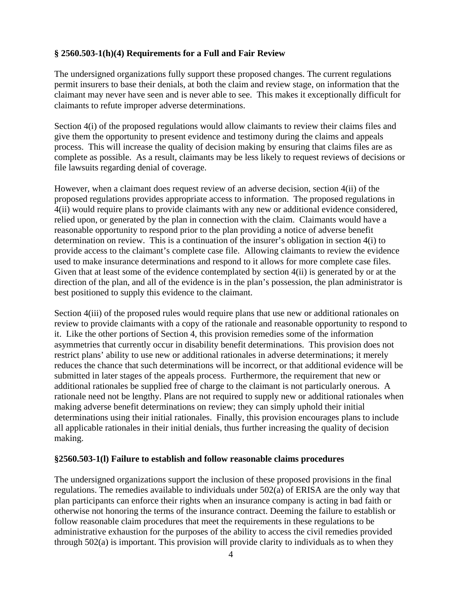### **§ 2560.503-1(h)(4) Requirements for a Full and Fair Review**

The undersigned organizations fully support these proposed changes. The current regulations permit insurers to base their denials, at both the claim and review stage, on information that the claimant may never have seen and is never able to see. This makes it exceptionally difficult for claimants to refute improper adverse determinations.

Section 4(i) of the proposed regulations would allow claimants to review their claims files and give them the opportunity to present evidence and testimony during the claims and appeals process. This will increase the quality of decision making by ensuring that claims files are as complete as possible. As a result, claimants may be less likely to request reviews of decisions or file lawsuits regarding denial of coverage.

However, when a claimant does request review of an adverse decision, section 4(ii) of the proposed regulations provides appropriate access to information. The proposed regulations in 4(ii) would require plans to provide claimants with any new or additional evidence considered, relied upon, or generated by the plan in connection with the claim. Claimants would have a reasonable opportunity to respond prior to the plan providing a notice of adverse benefit determination on review. This is a continuation of the insurer's obligation in section 4(i) to provide access to the claimant's complete case file. Allowing claimants to review the evidence used to make insurance determinations and respond to it allows for more complete case files. Given that at least some of the evidence contemplated by section 4(ii) is generated by or at the direction of the plan, and all of the evidence is in the plan's possession, the plan administrator is best positioned to supply this evidence to the claimant.

Section 4(iii) of the proposed rules would require plans that use new or additional rationales on review to provide claimants with a copy of the rationale and reasonable opportunity to respond to it. Like the other portions of Section 4, this provision remedies some of the information asymmetries that currently occur in disability benefit determinations. This provision does not restrict plans' ability to use new or additional rationales in adverse determinations; it merely reduces the chance that such determinations will be incorrect, or that additional evidence will be submitted in later stages of the appeals process. Furthermore, the requirement that new or additional rationales be supplied free of charge to the claimant is not particularly onerous. A rationale need not be lengthy. Plans are not required to supply new or additional rationales when making adverse benefit determinations on review; they can simply uphold their initial determinations using their initial rationales. Finally, this provision encourages plans to include all applicable rationales in their initial denials, thus further increasing the quality of decision making.

#### **§2560.503-1(l) Failure to establish and follow reasonable claims procedures**

The undersigned organizations support the inclusion of these proposed provisions in the final regulations. The remedies available to individuals under 502(a) of ERISA are the only way that plan participants can enforce their rights when an insurance company is acting in bad faith or otherwise not honoring the terms of the insurance contract. Deeming the failure to establish or follow reasonable claim procedures that meet the requirements in these regulations to be administrative exhaustion for the purposes of the ability to access the civil remedies provided through 502(a) is important. This provision will provide clarity to individuals as to when they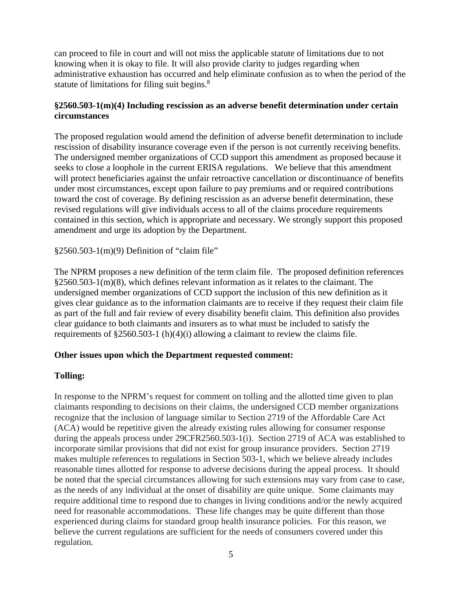can proceed to file in court and will not miss the applicable statute of limitations due to not knowing when it is okay to file. It will also provide clarity to judges regarding when administrative exhaustion has occurred and help eliminate confusion as to when the period of the statute of limitations for filing suit begins.<sup>8</sup>

### **§2560.503-1(m)(4) Including rescission as an adverse benefit determination under certain circumstances**

The proposed regulation would amend the definition of adverse benefit determination to include rescission of disability insurance coverage even if the person is not currently receiving benefits. The undersigned member organizations of CCD support this amendment as proposed because it seeks to close a loophole in the current ERISA regulations. We believe that this amendment will protect beneficiaries against the unfair retroactive cancellation or discontinuance of benefits under most circumstances, except upon failure to pay premiums and or required contributions toward the cost of coverage. By defining rescission as an adverse benefit determination, these revised regulations will give individuals access to all of the claims procedure requirements contained in this section, which is appropriate and necessary. We strongly support this proposed amendment and urge its adoption by the Department.

§2560.503-1(m)(9) Definition of "claim file"

The NPRM proposes a new definition of the term claim file. The proposed definition references §2560.503-1(m)(8), which defines relevant information as it relates to the claimant. The undersigned member organizations of CCD support the inclusion of this new definition as it gives clear guidance as to the information claimants are to receive if they request their claim file as part of the full and fair review of every disability benefit claim. This definition also provides clear guidance to both claimants and insurers as to what must be included to satisfy the requirements of §2560.503-1 (h)(4)(i) allowing a claimant to review the claims file.

## **Other issues upon which the Department requested comment:**

## **Tolling:**

In response to the NPRM's request for comment on tolling and the allotted time given to plan claimants responding to decisions on their claims, the undersigned CCD member organizations recognize that the inclusion of language similar to Section 2719 of the Affordable Care Act (ACA) would be repetitive given the already existing rules allowing for consumer response during the appeals process under 29CFR2560.503-1(i). Section 2719 of ACA was established to incorporate similar provisions that did not exist for group insurance providers. Section 2719 makes multiple references to regulations in Section 503-1, which we believe already includes reasonable times allotted for response to adverse decisions during the appeal process. It should be noted that the special circumstances allowing for such extensions may vary from case to case, as the needs of any individual at the onset of disability are quite unique. Some claimants may require additional time to respond due to changes in living conditions and/or the newly acquired need for reasonable accommodations. These life changes may be quite different than those experienced during claims for standard group health insurance policies. For this reason, we believe the current regulations are sufficient for the needs of consumers covered under this regulation.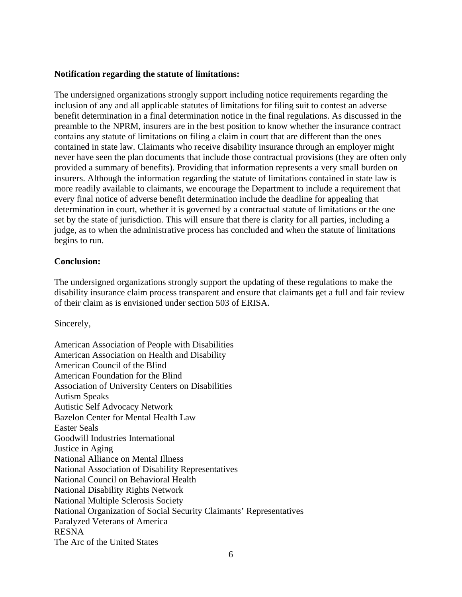#### **Notification regarding the statute of limitations:**

The undersigned organizations strongly support including notice requirements regarding the inclusion of any and all applicable statutes of limitations for filing suit to contest an adverse benefit determination in a final determination notice in the final regulations. As discussed in the preamble to the NPRM, insurers are in the best position to know whether the insurance contract contains any statute of limitations on filing a claim in court that are different than the ones contained in state law. Claimants who receive disability insurance through an employer might never have seen the plan documents that include those contractual provisions (they are often only provided a summary of benefits). Providing that information represents a very small burden on insurers. Although the information regarding the statute of limitations contained in state law is more readily available to claimants, we encourage the Department to include a requirement that every final notice of adverse benefit determination include the deadline for appealing that determination in court, whether it is governed by a contractual statute of limitations or the one set by the state of jurisdiction. This will ensure that there is clarity for all parties, including a judge, as to when the administrative process has concluded and when the statute of limitations begins to run.

#### **Conclusion:**

The undersigned organizations strongly support the updating of these regulations to make the disability insurance claim process transparent and ensure that claimants get a full and fair review of their claim as is envisioned under section 503 of ERISA.

Sincerely,

American Association of People with Disabilities American Association on Health and Disability American Council of the Blind American Foundation for the Blind Association of University Centers on Disabilities Autism Speaks Autistic Self Advocacy Network Bazelon Center for Mental Health Law Easter Seals Goodwill Industries International Justice in Aging National Alliance on Mental Illness National Association of Disability Representatives National Council on Behavioral Health National Disability Rights Network National Multiple Sclerosis Society National Organization of Social Security Claimants' Representatives Paralyzed Veterans of America RESNA The Arc of the United States